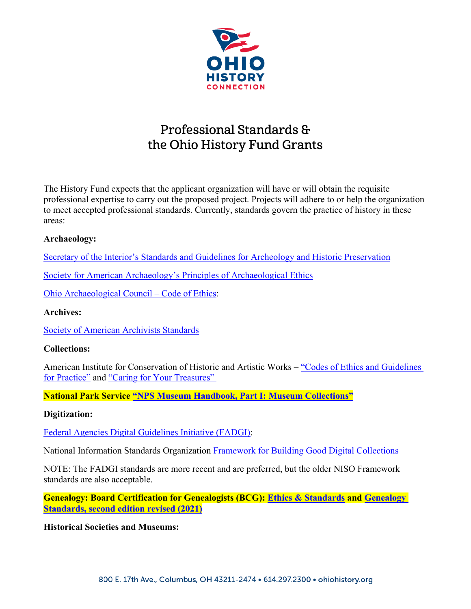

# Professional Standards & the Ohio History Fund Grants

The History Fund expects that the applicant organization will have or will obtain the requisite professional expertise to carry out the proposed project. Projects will adhere to or help the organization to meet accepted professional standards. Currently, standards govern the practice of history in these areas:

## **Archaeology:**

[Secretary of the Interior's Standards and Guidelines for Archeology and Historic Preservation](https://www.nps.gov/subjects/historicpreservation/upload/standards-guidelines-archeology-historic-preservation.pdf)

[Society for American Archaeology's Principles of Archaeological Ethics](https://www.saa.org/career-practice/ethics-in-professional-archaeology)

[Ohio Archaeological Council –](https://www.ohioarchaeology.org/about/code-of-ethics) Code of Ethics:

# **Archives:**

[Society of American Archivists Standards](http://www2.archivists.org/standards)

#### **Collections:**

American Institute for Conservation of Historic and Artistic Works – ["Codes of Ethics and Guidelines](https://www.culturalheritage.org/docs/defaultsource/administration/governance/code-of-ethics-and-guidelines-forpractice.pdf?sfvrsn=21)  [for Practice"](https://www.culturalheritage.org/docs/defaultsource/administration/governance/code-of-ethics-and-guidelines-forpractice.pdf?sfvrsn=21) and ["Caring for Your Treasures"](https://www.culturalheritage.org/website-search-results?indexCatalogue=site%2Dsearch&searchQuery=Caring+for+Your+Treasures&wordsMode=0)

**National Park Service ["NPS Museum Handbook, Part I: Museum Collections"](http://www.nps.gov/museum/publications/MHI/mushbkI.html)**

#### **Digitization:**

[Federal Agencies Digital Guidelines Initiative \(FADGI\):](http://www.digitizationguidelines.gov/guidelines/)

National Information Standards Organization [Framework for Building Good Digital Collections](https://www.niso.org/publications/framework-guidance-building-good-digitalcollections.)

NOTE: The FADGI standards are more recent and are preferred, but the older NISO Framework standards are also acceptable.

**Genealogy: Board Certification for Genealogists (BCG): [Ethics & Standards](https://bcgcertification.org/ethics-standards/) and [Genealogy](https://bcgcertification.org/product/genealogystandards-2d-edition/)  [Standards, second edition revised \(2021\)](https://bcgcertification.org/product/genealogystandards-2d-edition/)**

**Historical Societies and Museums:**